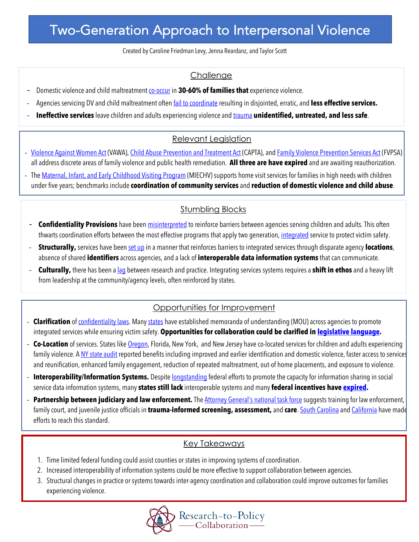# Two-Generation Approach to Interpersonal Violence

Created by Caroline Friedman Levy, Jenna Reardanz, and Taylor Scott

### **Challenge**

- Domestic violence and child maltreatment co-occur in **30-60% of families that** experience violence.
- Agencies servicing DV and child maltreatment often *fail to coordinate* resulting in disjointed, erratic, and less effective services.
- **Ineffective services** leave children and adults experiencing violence and trauma unidentified, untreated, and less safe.

## Relevant Legislation

- Violence Against Women Act (VAWA), Child Abuse Prevention and Treatment Act (CAPTA), and Family Violence Prevention Services Act (FVPSA) all address discrete areas of family violence and public health remediation. **All three are have expired** and are awaiting reauthorization.
- The Maternal, Infant, and Early Childhood Visiting Program (MIECHV) supports home visit services for families in high needs with children under five years; benchmarks include **coordination of community services** and **reduction of domestic violence and child abuse**.

## **Stumbling Blocks**

- **Confidentiality Provisions** have been misinterpreted to reinforce barriers between agencies serving children and adults. This often thwarts coordination efforts between the most effective programs that apply two generation, integrated service to protect victim safety.
- **Structurally,** services have been set up in a manner that reinforces barriers to integrated services through disparate agency **locations**, absence of shared **identifiers** across agencies, and a lack of **interoperable data information systems** that can communicate.
- **Culturally,** there has been a lag between research and practice. Integrating services systems requires a **shift in ethos** and a heavy lift from leadership at the community/agency levels, often reinforced by states.

## Opportunities for Improvement

- **Clarification** of *confidentiality laws.* Many states have established memoranda of understanding (MOU) across agencies to promote integrated services while ensuring victim safety. **Opportunities for collaboration could be clarified in legislative language.**
- **Co-Location** of services. States like Oregon, Florida, New York, and New Jersey have co-located services for children and adults experiencing family violence. A NY state audit reported benefits including improved and earlier identification and domestic violence, faster access to services and reunification, enhanced family engagement, reduction of repeated maltreatment, out-of home placements, and exposure to violence.
- **Interoperability/Information Systems.** Despite longstanding federal efforts to promote the capacity for information sharing in social service data information systems, many **states still lack** interoperable systems and many **federal incentives have expired.**
- **Partnership between judiciary and law enforcement.** The Attorney General's national task force suggests training for law enforcement, family court, and juvenile justice officials in **trauma-informed screening, assessment,** and **care**. South Carolina and California have made efforts to reach this standard.

### Key Takeaways

1. Time limited federal funding could assist counties or states in improving systems of coordination.

Ī

- 2. Increased interoperability of information systems could be more effective to support collaboration between agencies.
- 3. Structural changes in practice or systems towards inter-agency coordination and collaboration could improve outcomes for families experiencing violence.